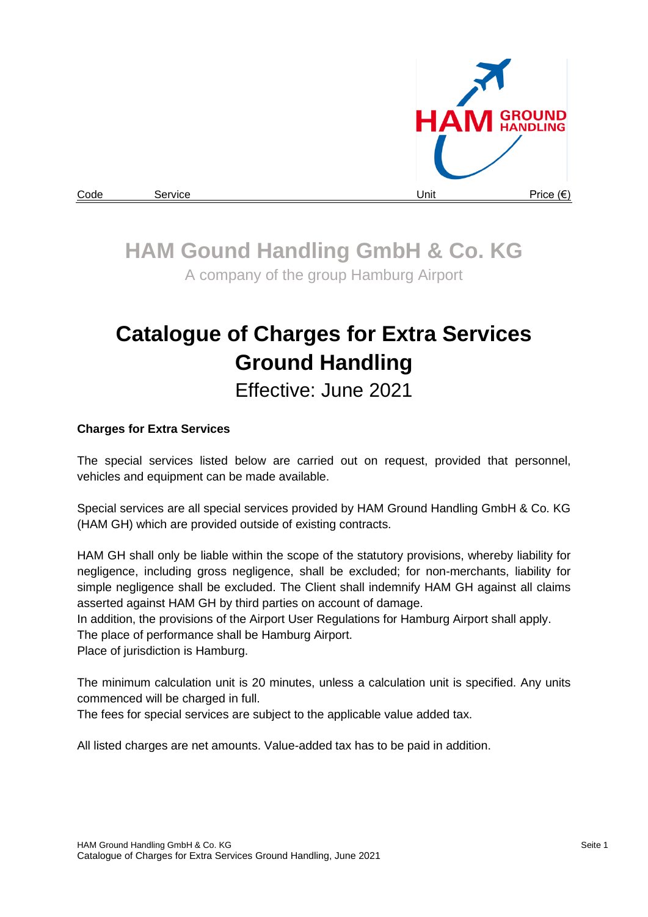

# **HAM Gound Handling GmbH & Co. KG**

A company of the group Hamburg Airport

# **Catalogue of Charges for Extra Services Ground Handling**

Effective: June 2021

### **Charges for Extra Services**

The special services listed below are carried out on request, provided that personnel, vehicles and equipment can be made available.

Special services are all special services provided by HAM Ground Handling GmbH & Co. KG (HAM GH) which are provided outside of existing contracts.

HAM GH shall only be liable within the scope of the statutory provisions, whereby liability for negligence, including gross negligence, shall be excluded; for non-merchants, liability for simple negligence shall be excluded. The Client shall indemnify HAM GH against all claims asserted against HAM GH by third parties on account of damage.

In addition, the provisions of the Airport User Regulations for Hamburg Airport shall apply.

The place of performance shall be Hamburg Airport.

Place of jurisdiction is Hamburg.

The minimum calculation unit is 20 minutes, unless a calculation unit is specified. Any units commenced will be charged in full.

The fees for special services are subject to the applicable value added tax.

All listed charges are net amounts. Value-added tax has to be paid in addition.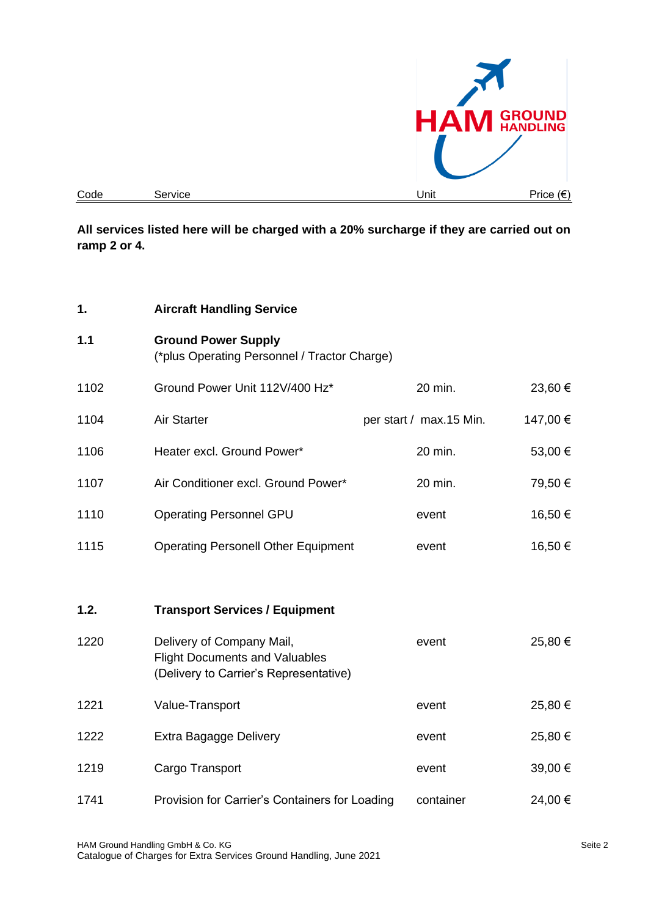

**All services listed here will be charged with a 20% surcharge if they are carried out on ramp 2 or 4.**

| 1.   | <b>Aircraft Handling Service</b>                                                                             |                         |          |
|------|--------------------------------------------------------------------------------------------------------------|-------------------------|----------|
| 1.1  | <b>Ground Power Supply</b><br>(*plus Operating Personnel / Tractor Charge)                                   |                         |          |
| 1102 | Ground Power Unit 112V/400 Hz*                                                                               | 20 min.                 | 23,60 €  |
| 1104 | Air Starter                                                                                                  | per start / max.15 Min. | 147,00 € |
| 1106 | Heater excl. Ground Power*                                                                                   | 20 min.                 | 53,00 €  |
| 1107 | Air Conditioner excl. Ground Power*                                                                          | 20 min.                 | 79,50 €  |
| 1110 | <b>Operating Personnel GPU</b>                                                                               | event                   | 16,50€   |
| 1115 | <b>Operating Personell Other Equipment</b>                                                                   | event                   | 16,50 €  |
|      |                                                                                                              |                         |          |
| 1.2. | <b>Transport Services / Equipment</b>                                                                        |                         |          |
| 1220 | Delivery of Company Mail,<br><b>Flight Documents and Valuables</b><br>(Delivery to Carrier's Representative) | event                   | 25,80 €  |
| 1221 | Value-Transport                                                                                              | event                   | 25,80 €  |
| 1222 | Extra Bagagge Delivery                                                                                       | event                   | 25,80 €  |
| 1219 | Cargo Transport                                                                                              | event                   | 39,00 €  |
| 1741 | Provision for Carrier's Containers for Loading                                                               | container               | 24,00 €  |
|      |                                                                                                              |                         |          |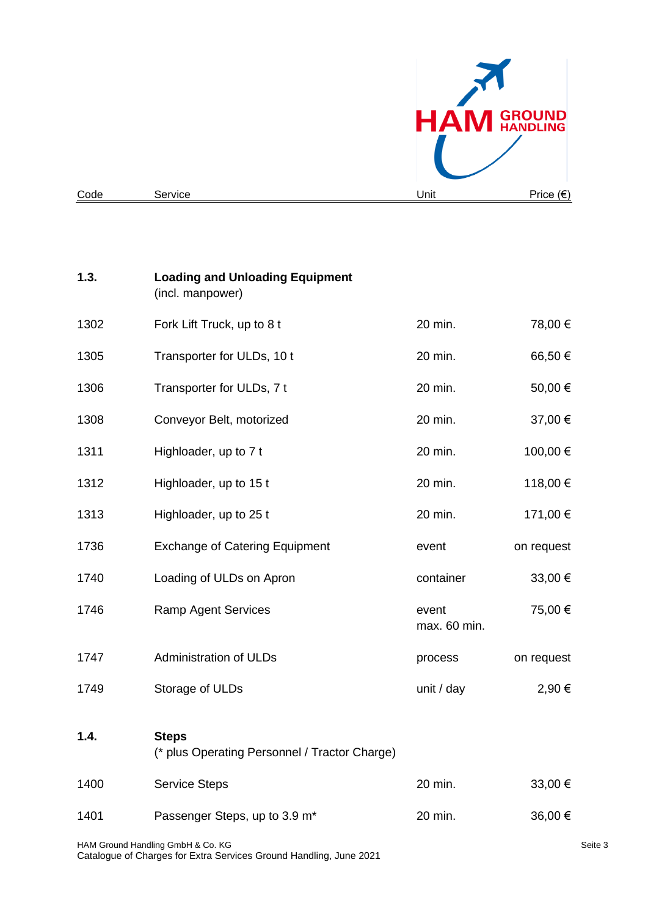

| 1.3. | <b>Loading and Unloading Equipment</b><br>(incl. manpower)    |                       |            |
|------|---------------------------------------------------------------|-----------------------|------------|
| 1302 | Fork Lift Truck, up to 8 t                                    | 20 min.               | 78,00 €    |
| 1305 | Transporter for ULDs, 10 t                                    | 20 min.               | 66,50€     |
| 1306 | Transporter for ULDs, 7 t                                     | 20 min.               | 50,00 €    |
| 1308 | Conveyor Belt, motorized                                      | 20 min.               | 37,00 €    |
| 1311 | Highloader, up to 7 t                                         | 20 min.               | 100,00 €   |
| 1312 | Highloader, up to 15 t                                        | 20 min.               | 118,00 €   |
| 1313 | Highloader, up to 25 t                                        | 20 min.               | 171,00 €   |
| 1736 | <b>Exchange of Catering Equipment</b>                         | event                 | on request |
| 1740 | Loading of ULDs on Apron                                      | container             | 33,00 €    |
| 1746 | <b>Ramp Agent Services</b>                                    | event<br>max. 60 min. | 75,00 €    |
| 1747 | <b>Administration of ULDs</b>                                 | process               | on request |
| 1749 | Storage of ULDs                                               | unit / day            | 2,90 €     |
| 1.4. | <b>Steps</b><br>(* plus Operating Personnel / Tractor Charge) |                       |            |
| 1400 | <b>Service Steps</b>                                          | 20 min.               | 33,00 €    |
| 1401 | Passenger Steps, up to 3.9 m <sup>*</sup>                     | 20 min.               | 36,00 €    |
|      |                                                               |                       |            |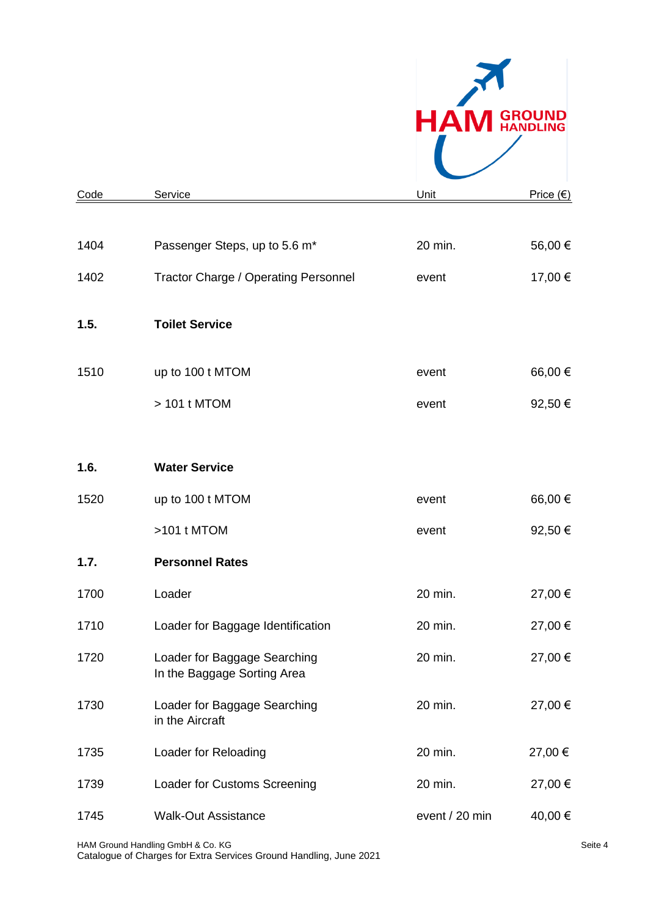

| Code | Service                                                     | Unit           | <u>Price (€)</u> |
|------|-------------------------------------------------------------|----------------|------------------|
|      |                                                             |                |                  |
| 1404 | Passenger Steps, up to 5.6 m*                               | 20 min.        | 56,00 €          |
| 1402 | <b>Tractor Charge / Operating Personnel</b>                 | event          | 17,00 €          |
| 1.5. | <b>Toilet Service</b>                                       |                |                  |
| 1510 | up to 100 t MTOM                                            | event          | 66,00 €          |
|      | > 101 t MTOM                                                | event          | 92,50 €          |
|      |                                                             |                |                  |
| 1.6. | <b>Water Service</b>                                        |                |                  |
| 1520 | up to 100 t MTOM                                            | event          | 66,00 €          |
|      | >101 t MTOM                                                 | event          | 92,50 €          |
| 1.7. | <b>Personnel Rates</b>                                      |                |                  |
| 1700 | Loader                                                      | 20 min.        | 27,00 €          |
| 1710 | Loader for Baggage Identification                           | 20 min.        | 27,00 €          |
| 1720 | Loader for Baggage Searching<br>In the Baggage Sorting Area | 20 min.        | 27,00 €          |
| 1730 | Loader for Baggage Searching<br>in the Aircraft             | 20 min.        | 27,00 €          |
| 1735 | Loader for Reloading                                        | 20 min.        | 27,00 €          |
| 1739 | Loader for Customs Screening                                | 20 min.        | 27,00 €          |
| 1745 | <b>Walk-Out Assistance</b>                                  | event / 20 min | 40,00 €          |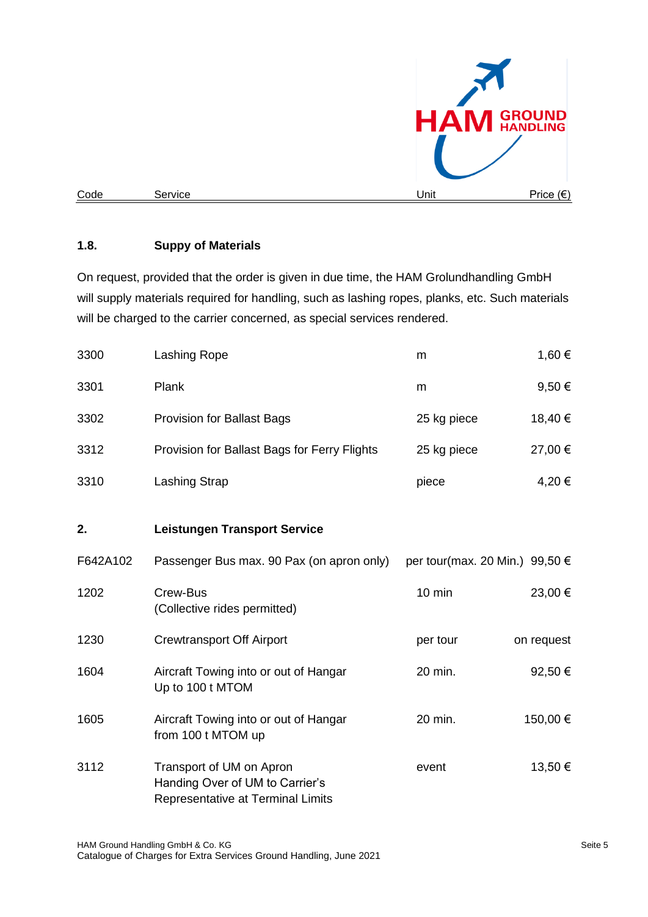

#### **1.8. Suppy of Materials**

On request, provided that the order is given in due time, the HAM Grolundhandling GmbH will supply materials required for handling, such as lashing ropes, planks, etc. Such materials will be charged to the carrier concerned, as special services rendered.

| 3300     | Lashing Rope                                                                                     | m                                       | 1,60 €     |
|----------|--------------------------------------------------------------------------------------------------|-----------------------------------------|------------|
| 3301     | Plank                                                                                            | m                                       | 9,50€      |
| 3302     | <b>Provision for Ballast Bags</b>                                                                | 25 kg piece                             | 18,40€     |
| 3312     | Provision for Ballast Bags for Ferry Flights                                                     | 25 kg piece                             | 27,00 €    |
| 3310     | <b>Lashing Strap</b>                                                                             | piece                                   | 4,20€      |
| 2.       | <b>Leistungen Transport Service</b>                                                              |                                         |            |
|          |                                                                                                  |                                         |            |
| F642A102 | Passenger Bus max. 90 Pax (on apron only)                                                        | per tour(max. 20 Min.) 99,50 $\epsilon$ |            |
| 1202     | Crew-Bus<br>(Collective rides permitted)                                                         | $10$ min                                | 23,00 €    |
| 1230     | <b>Crewtransport Off Airport</b>                                                                 | per tour                                | on request |
| 1604     | Aircraft Towing into or out of Hangar<br>Up to 100 t MTOM                                        | 20 min.                                 | 92,50€     |
| 1605     | Aircraft Towing into or out of Hangar<br>from 100 t MTOM up                                      | 20 min.                                 | 150,00 €   |
| 3112     | Transport of UM on Apron<br>Handing Over of UM to Carrier's<br>Representative at Terminal Limits | event                                   | 13,50 €    |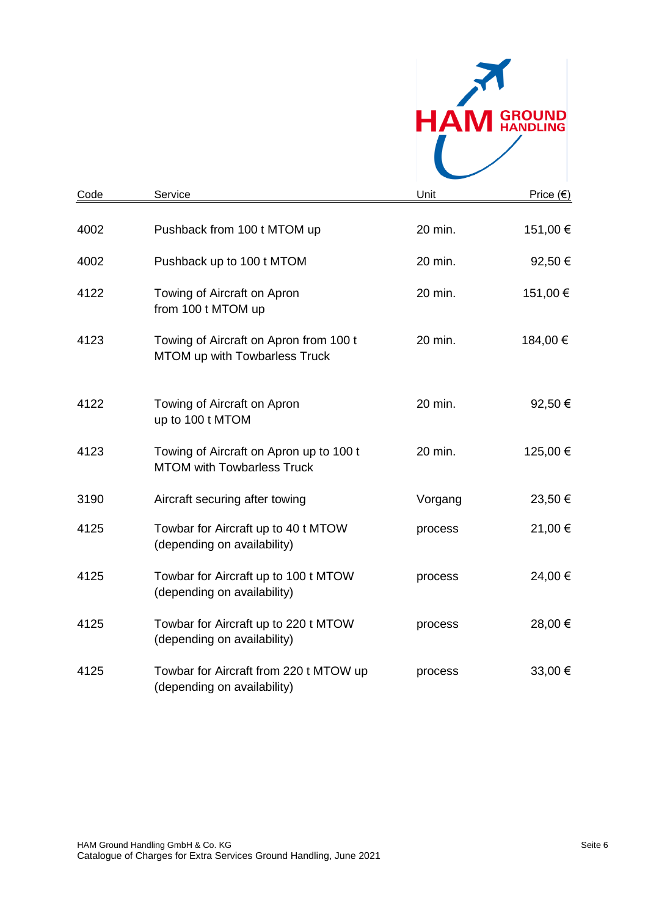

| Code | Service                                                                      | Unit    | Price (€) |
|------|------------------------------------------------------------------------------|---------|-----------|
| 4002 | Pushback from 100 t MTOM up                                                  | 20 min. | 151,00 €  |
| 4002 | Pushback up to 100 t MTOM                                                    | 20 min. | 92,50 €   |
| 4122 | Towing of Aircraft on Apron<br>from 100 t MTOM up                            | 20 min. | 151,00€   |
| 4123 | Towing of Aircraft on Apron from 100 t<br>MTOM up with Towbarless Truck      | 20 min. | 184,00 €  |
| 4122 | Towing of Aircraft on Apron<br>up to 100 t MTOM                              | 20 min. | 92,50€    |
| 4123 | Towing of Aircraft on Apron up to 100 t<br><b>MTOM with Towbarless Truck</b> | 20 min. | 125,00 €  |
| 3190 | Aircraft securing after towing                                               | Vorgang | 23,50 €   |
| 4125 | Towbar for Aircraft up to 40 t MTOW<br>(depending on availability)           | process | 21,00 €   |
| 4125 | Towbar for Aircraft up to 100 t MTOW<br>(depending on availability)          | process | 24,00 €   |
| 4125 | Towbar for Aircraft up to 220 t MTOW<br>(depending on availability)          | process | 28,00 €   |
| 4125 | Towbar for Aircraft from 220 t MTOW up<br>(depending on availability)        | process | 33,00 €   |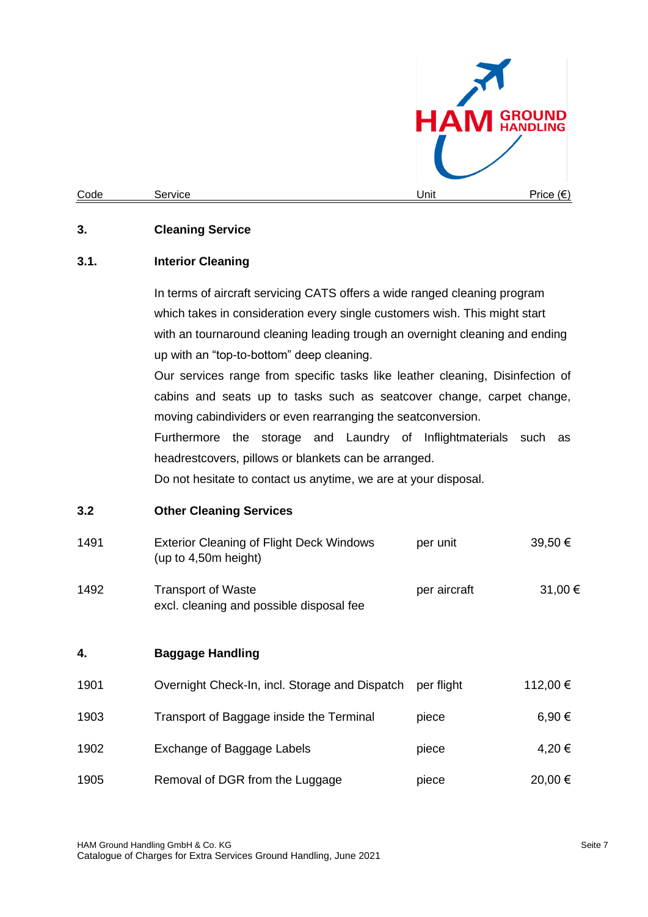

### **3. Cleaning Service**

#### **3.1. Interior Cleaning**

In terms of aircraft servicing CATS offers a wide ranged cleaning program which takes in consideration every single customers wish. This might start with an tournaround cleaning leading trough an overnight cleaning and ending up with an "top-to-bottom" deep cleaning.

Our services range from specific tasks like leather cleaning, Disinfection of cabins and seats up to tasks such as seatcover change, carpet change, moving cabindividers or even rearranging the seatconversion.

Furthermore the storage and Laundry of Inflightmaterials such as headrestcovers, pillows or blankets can be arranged.

Do not hesitate to contact us anytime, we are at your disposal.

#### **3.2 Other Cleaning Services**

| 1491 | <b>Exterior Cleaning of Flight Deck Windows</b><br>(up to 4,50m height) | per unit     | 39,50 €  |
|------|-------------------------------------------------------------------------|--------------|----------|
| 1492 | <b>Transport of Waste</b><br>excl. cleaning and possible disposal fee   | per aircraft | 31,00 €  |
| 4.   | <b>Baggage Handling</b>                                                 |              |          |
| 1901 | Overnight Check-In, incl. Storage and Dispatch                          | per flight   | 112,00 € |
| 1903 | Transport of Baggage inside the Terminal                                | piece        | 6,90€    |
| 1902 | Exchange of Baggage Labels                                              | piece        | 4,20€    |
| 1905 | Removal of DGR from the Luggage                                         | piece        | 20,00 €  |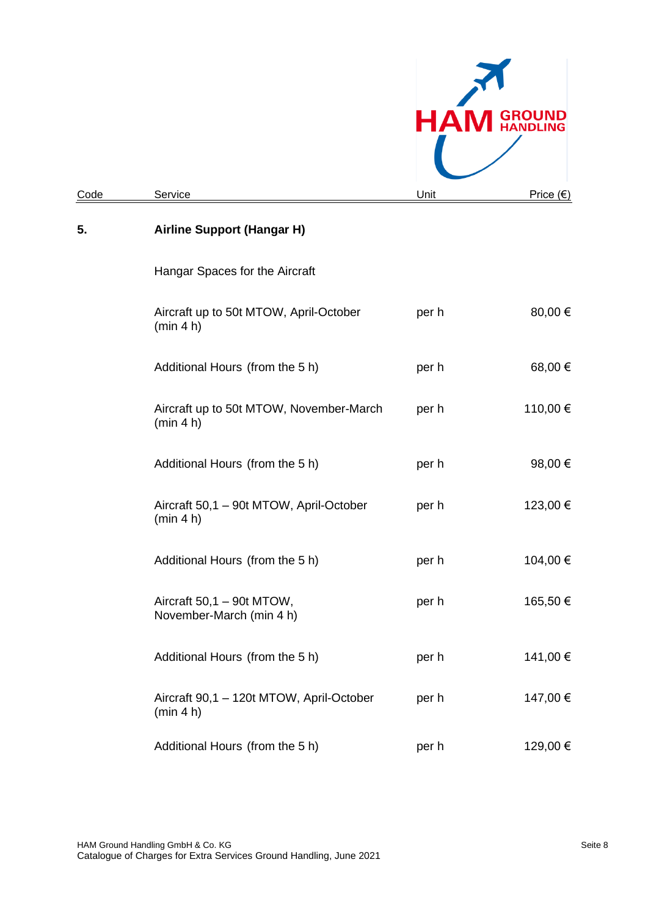|      |                                                       | HА    | <b>GROUND<br/>HANDLING</b> |
|------|-------------------------------------------------------|-------|----------------------------|
| Code | Service                                               | Unit  | <u>Price (€)</u>           |
| 5.   | <b>Airline Support (Hangar H)</b>                     |       |                            |
|      | Hangar Spaces for the Aircraft                        |       |                            |
|      | Aircraft up to 50t MTOW, April-October<br>(min 4 h)   | per h | 80,00 €                    |
|      | Additional Hours (from the 5 h)                       | per h | 68,00 €                    |
|      | Aircraft up to 50t MTOW, November-March<br>(min 4 h)  | per h | 110,00 €                   |
|      | Additional Hours (from the 5 h)                       | per h | 98,00 €                    |
|      | Aircraft 50,1 - 90t MTOW, April-October<br>(min 4 h)  | per h | 123,00 €                   |
|      | Additional Hours (from the 5 h)                       | per h | 104,00 €                   |
|      | Aircraft 50,1 - 90t MTOW,<br>November-March (min 4 h) | per h | 165,50€                    |
|      | Additional Hours (from the 5 h)                       | per h | 141,00 €                   |
|      | Aircraft 90,1 - 120t MTOW, April-October<br>(min 4 h) | per h | 147,00 €                   |
|      | Additional Hours (from the 5 h)                       | per h | 129,00 €                   |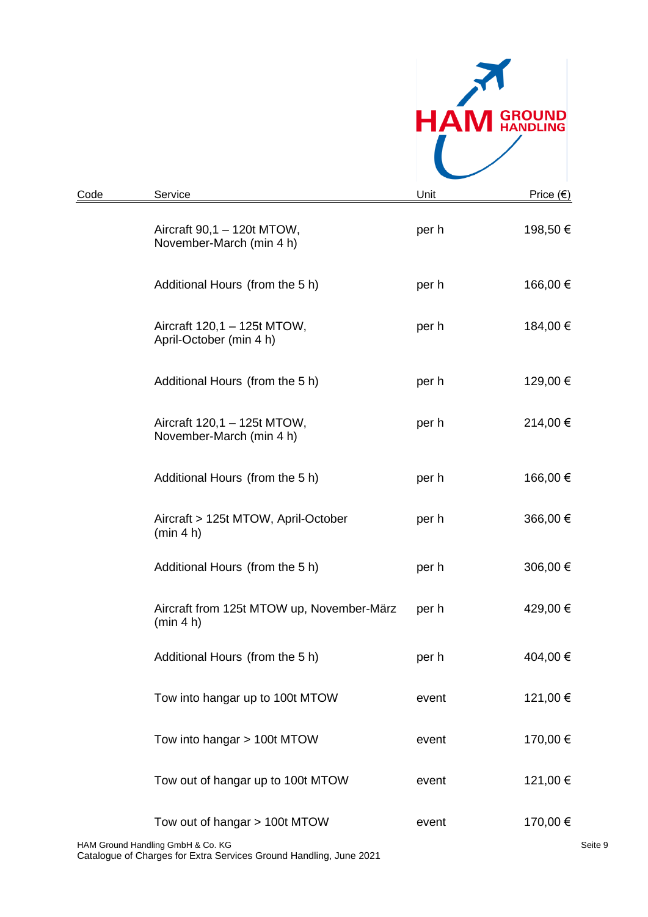

| Code | Service                                                            | Unit  | <u>Price</u> (€)    |
|------|--------------------------------------------------------------------|-------|---------------------|
|      | Aircraft 90,1 - 120t MTOW,<br>November-March (min 4 h)             | per h | 198,50 €            |
|      | Additional Hours (from the 5 h)                                    | per h | 166,00 €            |
|      | Aircraft 120,1 - 125t MTOW,<br>April-October (min 4 h)             | per h | 184,00 €            |
|      | Additional Hours (from the 5 h)                                    | per h | 129,00 €            |
|      | Aircraft 120,1 - 125t MTOW,<br>November-March (min 4 h)            | per h | 214,00 €            |
|      | Additional Hours (from the 5 h)                                    | per h | 166,00 €            |
|      | Aircraft > 125t MTOW, April-October<br>(min 4 h)                   | per h | 366,00 €            |
|      | Additional Hours (from the 5 h)                                    | per h | 306,00 €            |
|      | Aircraft from 125t MTOW up, November-März<br>(min 4 h)             | per h | 429,00 €            |
|      | Additional Hours (from the 5 h)                                    | per h | 404,00 €            |
|      | Tow into hangar up to 100t MTOW                                    | event | 121,00 €            |
|      | Tow into hangar > 100t MTOW                                        | event | 170,00 €            |
|      | Tow out of hangar up to 100t MTOW                                  | event | 121,00 €            |
|      | Tow out of hangar > 100t MTOW<br>HAM Ground Handling GmbH & Co. KG | event | 170,00 €<br>Seite 9 |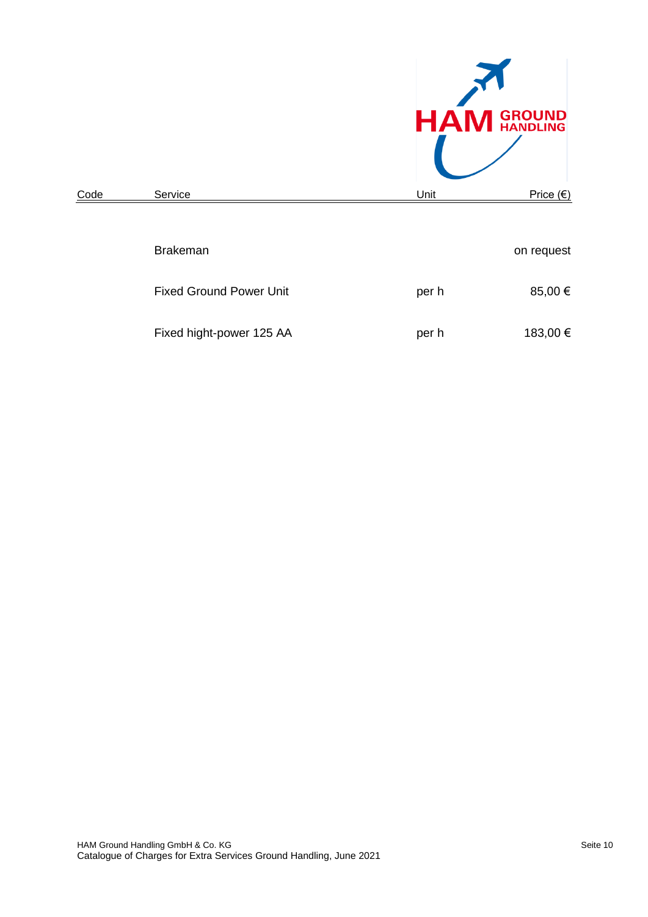

| <u>Code</u> | Service                        | Unit  | <u> Price (€)</u> |
|-------------|--------------------------------|-------|-------------------|
|             |                                |       |                   |
|             | <b>Brakeman</b>                |       | on request        |
|             | <b>Fixed Ground Power Unit</b> | per h | 85,00 €           |
|             | Fixed hight-power 125 AA       | per h | 183,00 €          |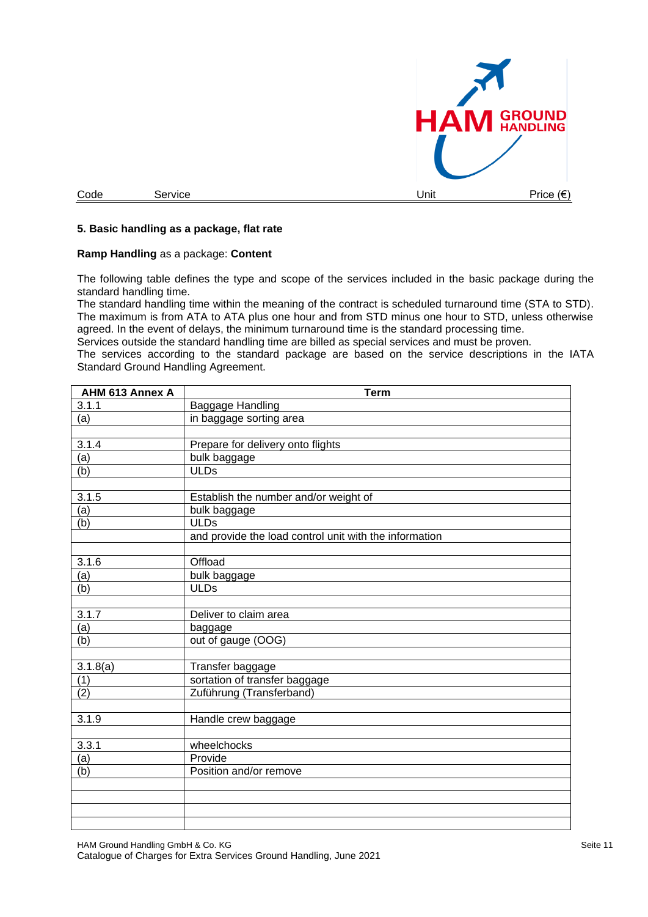

## **5. Basic handling as a package, flat rate**

#### **Ramp Handling** as a package: **Content**

The following table defines the type and scope of the services included in the basic package during the standard handling time.

The standard handling time within the meaning of the contract is scheduled turnaround time (STA to STD). The maximum is from ATA to ATA plus one hour and from STD minus one hour to STD, unless otherwise agreed. In the event of delays, the minimum turnaround time is the standard processing time.

Services outside the standard handling time are billed as special services and must be proven.

The services according to the standard package are based on the service descriptions in the IATA Standard Ground Handling Agreement.

| AHM 613 Annex A  | <b>Term</b>                                            |
|------------------|--------------------------------------------------------|
| 3.1.1            | Baggage Handling                                       |
| (a)              | in baggage sorting area                                |
|                  |                                                        |
| 3.1.4            | Prepare for delivery onto flights                      |
| (a)              | bulk baggage                                           |
| (b)              | <b>ULDs</b>                                            |
|                  |                                                        |
| 3.1.5            | Establish the number and/or weight of                  |
| $\overline{a}$   | bulk baggage                                           |
| (b)              | <b>ULDs</b>                                            |
|                  | and provide the load control unit with the information |
|                  |                                                        |
| 3.1.6            | Offload                                                |
| (a)              | bulk baggage                                           |
| $\overline{(b)}$ | <b>ULDs</b>                                            |
|                  |                                                        |
| 3.1.7            | Deliver to claim area                                  |
| (a)              | baggage                                                |
| (b)              | out of gauge (OOG)                                     |
|                  |                                                        |
| 3.1.8(a)         | Transfer baggage                                       |
| $\overline{(1)}$ | sortation of transfer baggage                          |
| (2)              | Zuführung (Transferband)                               |
|                  |                                                        |
| 3.1.9            | Handle crew baggage                                    |
|                  |                                                        |
| 3.3.1            | wheelchocks                                            |
| $\overline{a}$   | Provide                                                |
| (b)              | Position and/or remove                                 |
|                  |                                                        |
|                  |                                                        |
|                  |                                                        |
|                  |                                                        |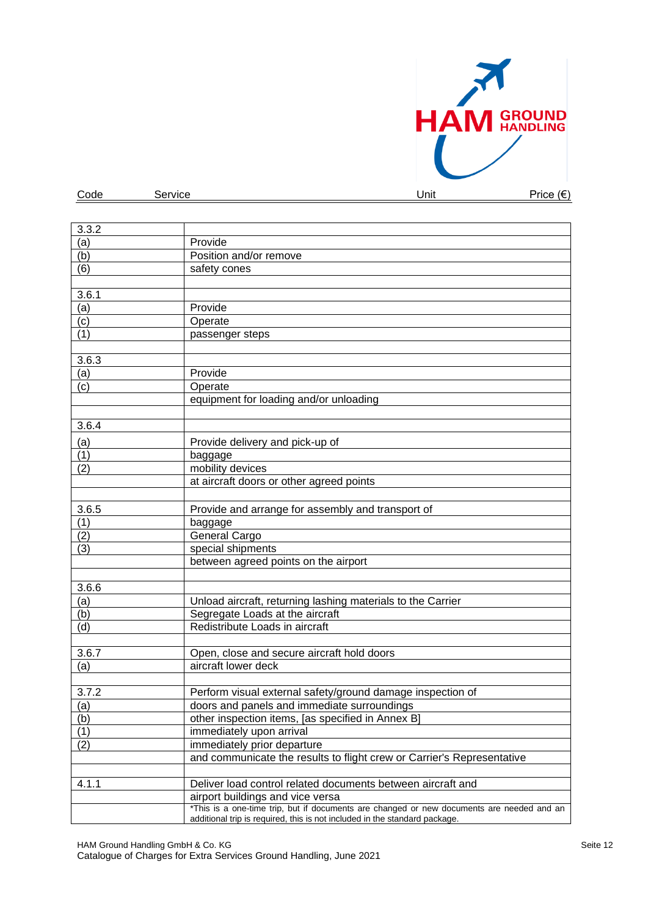

| Provide                |
|------------------------|
| Position and/or remove |
| safety cones           |
|                        |
|                        |
| Provide                |
| Operate                |
|                        |

Code Service Unit Price (€)

| (a)   | Provide                                                                                                                       |
|-------|-------------------------------------------------------------------------------------------------------------------------------|
| (c)   | Operate                                                                                                                       |
| (1)   | passenger steps                                                                                                               |
|       |                                                                                                                               |
| 3.6.3 |                                                                                                                               |
| (a)   | Provide                                                                                                                       |
| (c)   | Operate                                                                                                                       |
|       | equipment for loading and/or unloading                                                                                        |
|       |                                                                                                                               |
| 3.6.4 |                                                                                                                               |
| (a)   | Provide delivery and pick-up of                                                                                               |
| (1)   | baggage                                                                                                                       |
| (2)   | mobility devices                                                                                                              |
|       | at aircraft doors or other agreed points                                                                                      |
|       |                                                                                                                               |
| 3.6.5 | Provide and arrange for assembly and transport of                                                                             |
| (1)   | baggage                                                                                                                       |
| (2)   | General Cargo                                                                                                                 |
| (3)   | special shipments                                                                                                             |
|       | between agreed points on the airport                                                                                          |
|       |                                                                                                                               |
| 3.6.6 |                                                                                                                               |
| (a)   | Unload aircraft, returning lashing materials to the Carrier                                                                   |
| (b)   | Segregate Loads at the aircraft                                                                                               |
| (d)   | Redistribute Loads in aircraft                                                                                                |
|       |                                                                                                                               |
| 3.6.7 | Open, close and secure aircraft hold doors                                                                                    |
| (a)   | aircraft lower deck                                                                                                           |
|       |                                                                                                                               |
| 3.7.2 | Perform visual external safety/ground damage inspection of                                                                    |
| (a)   | doors and panels and immediate surroundings                                                                                   |
| (b)   | other inspection items, [as specified in Annex B]                                                                             |
| (1)   | immediately upon arrival                                                                                                      |
| (2)   | immediately prior departure                                                                                                   |
|       | and communicate the results to flight crew or Carrier's Representative                                                        |
|       |                                                                                                                               |
| 4.1.1 | Deliver load control related documents between aircraft and                                                                   |
|       | airport buildings and vice versa<br>*This is a one-time trip, but if documents are changed or new documents are needed and an |
|       | additional trip is required, this is not included in the standard package.                                                    |